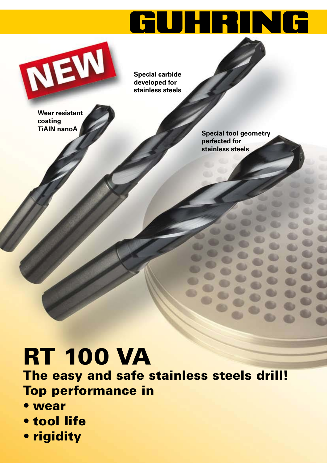# GUHRING



**Special carbide developed for stainless steels**

**Wear resistant coating TiAlN nanoA**

**Special tool geometry perfected for stainless steels**

## **RT 100 VA**

**The easy and safe stainless steels drill! Top performance in**

- sæ**wear**
- sæ**tool life**
- **rigidity**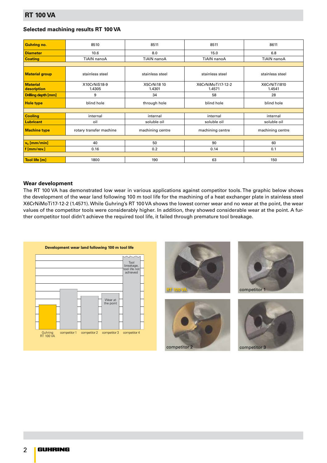#### **Selected machining results RT 100 VA**

| <b>Guhring no.</b>             | 8510                    | 8511                         | 8511                        | 8611                   |
|--------------------------------|-------------------------|------------------------------|-----------------------------|------------------------|
| <b>Diameter</b>                | 10.6                    | 8.0                          | 15.0                        | 6.8                    |
| <b>Coating</b>                 | TiAIN nanoA             | TiAIN nanoA                  | TiAIN nanoA                 | TiAIN nanoA            |
|                                |                         |                              |                             |                        |
| <b>Material group</b>          | stainless steel         | stainless steel              | stainless steel             | stainless steel        |
| <b>Material</b><br>description | X10CrNiS18-9<br>1.4305  | <b>X5CrNi18 10</b><br>1.4301 | X6CrNiMoTi17-12-2<br>1.4571 | X6CrNiTi1810<br>1.4541 |
| <b>Drilling depth [mm]</b>     | 9                       | 34                           | 58                          | 28                     |
| <b>Hole type</b>               | blind hole              | through hole                 | blind hole                  | blind hole             |
|                                |                         |                              |                             |                        |
| <b>Cooling</b>                 | internal                | internal                     | internal                    | internal               |
| <b>Lubricant</b>               | oil                     | soluble oil                  | soluble oil                 | soluble oil            |
| <b>Machine type</b>            | rotary transfer machine | machining centre             | machining centre            | machining centre       |
|                                |                         |                              |                             |                        |
| $v_c$ [mm/min]                 | 40                      | 50                           | 90                          | 60                     |
| f [mm/rev.]                    | 0.16                    | 0.2                          | 0.14                        | 0.1                    |
|                                |                         |                              |                             |                        |
| Tool life [m]                  | 1800                    | 190                          | 63                          | 150                    |

#### **Wear development**

The RT 100 VA has demonstrated low wear in various applications against competitor tools. The graphic below shows the development of the wear land following 100 m tool life for the machining of a heat exchanger plate in stainless steel X6CrNiMoTi17-12-2 (1.4571). While Guhring's RT 100 VA shows the lowest corner wear and no wear at the point, the wear values of the competitor tools were considerably higher. In addition, they showed considerable wear at the point. A further competitor tool didn't achieve the required tool life, it failed through premature tool breakage.







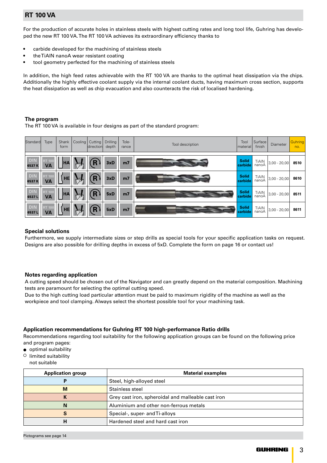### **RT 100 VA**

For the production of accurate holes in stainless steels with highest cutting rates and long tool life, Guhring has developed the new RT 100 VA. The RT 100 VA achieves its extraordinary efficiency thanks to

- carbide developed for the machining of stainless steels
- the TiAIN nanoA wear resistant coating
- $\bullet$  tool geometry perfected for the machining of stainless steels

In addition, the high feed rates achievable with the RT 100 VA are thanks to the optimal heat dissipation via the chips. Additionally the highly effective coolant supply via the internal coolant ducts, having maximum cross section, supports the heat dissipation as well as chip evacuation and also counteracts the risk of localised hardening.

#### **The program**

The RT 100 VA is available in four designs as part of the standard program:

| Standard            | Type                       | Shank<br>form |                                 | Cooling   Cutting  <br>direction | Drilling<br>depth | Tole-<br>rance | Tool description | Tool<br>  material      | Surface<br>finish | Diameter         | Guhring<br>no. |
|---------------------|----------------------------|---------------|---------------------------------|----------------------------------|-------------------|----------------|------------------|-------------------------|-------------------|------------------|----------------|
|                     |                            |               |                                 |                                  |                   |                |                  |                         |                   |                  |                |
| <b>DIN</b><br>6537K | <b>RT 100</b><br><b>VA</b> | <b>HA</b>     |                                 | R                                | 3xD               | m <sub>7</sub> |                  | <b>Solid</b><br>carbide | TiAIN<br>nanoA    | $3,00 - 20,00$   | 8510           |
| <b>DIN</b><br>6537K | <b>RT 100</b><br><b>VA</b> | <b>HE</b>     | $\mathbf{I}_{\widehat{\infty}}$ | R                                | 3xD               | m <sub>7</sub> |                  | <b>Solid</b><br>carbide | TiAIN<br>nanoA    | $3,00 - 20,00$   | 8610           |
| <b>DIN</b><br>6537L | <b>RT 100</b><br><b>VA</b> | <b>HA</b>     | $\mathbf{I}_{\widehat{\infty}}$ |                                  | 5xD               | m <sub>7</sub> |                  | <b>Solid</b><br>carbide | TiAIN<br>nanoA    | $3,00 - 20,00$   | 8511           |
| <b>DIN</b><br>6537L | <b>RT 100</b><br><b>VA</b> | <b>HE</b>     | $\mathbf{I}_{\mathbb{Q}}$       | R                                | 5xD               | m <sub>7</sub> |                  | <b>Solid</b><br>carbide | TiAIN<br>nanoA    | $ 3,00 - 20,00 $ | 8611           |

#### **Special solutions**

Furthermore, we supply intermediate sizes or step drills as special tools for your specific application tasks on request. Designs are also possible for drilling depths in excess of 5xD. Complete the form on page 16 or contact us!

#### **Notes regarding application**

A cutting speed should be chosen out of the Navigator and can greatly depend on the material composition. Machining tests are paramount for selecting the optimal cutting speed.

Due to the high cutting load particular attention must be paid to maximum rigidity of the machine as well as the workpiece and tool clamping. Always select the shortest possible tool for your machining task.

#### **Application recommendations for Guhring RT 100 high-performance Ratio drills**

Recommendations regarding tool suitability for the following application groups can be found on the following price and program pages:

- $\bullet$  optimal suitability
- $\circ$  limited suitability
- not suitable

| <b>Application group</b> | <b>Material examples</b>                           |
|--------------------------|----------------------------------------------------|
|                          | Steel, high-alloyed steel                          |
| M                        | Stainless steel                                    |
|                          | Grey cast iron, spheroidal and malleable cast iron |
| N                        | Aluminium and other non-ferrous metals             |
|                          | Special-, super- and Ti-alloys                     |
|                          | Hardened steel and hard cast iron                  |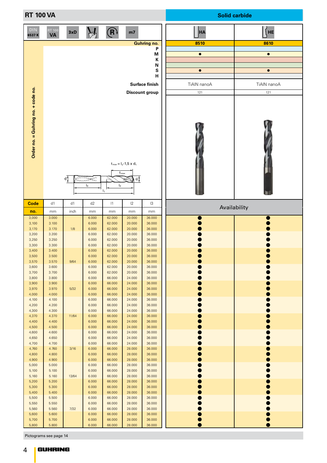| <b>RT 100 VA</b>                   |                            |        |                |                                  |                                                                 |                         |             | <b>Solid carbide</b> |
|------------------------------------|----------------------------|--------|----------------|----------------------------------|-----------------------------------------------------------------|-------------------------|-------------|----------------------|
| DIN<br>6537K                       | <b>RT 100</b><br><b>VA</b> | 3xD    |                | (R)                              | m <sub>7</sub>                                                  |                         | <b>HA</b>   | HE                   |
|                                    |                            |        |                |                                  |                                                                 | <b>Guhring no.</b><br>P | 8510        | 8610                 |
|                                    |                            |        |                |                                  |                                                                 | M                       | $\bullet$   | $\bullet$            |
|                                    |                            |        |                |                                  |                                                                 | К<br>N                  |             |                      |
|                                    |                            |        |                |                                  |                                                                 | S                       | $\bullet$   | $\bullet$            |
|                                    |                            |        |                |                                  |                                                                 | н                       |             |                      |
|                                    |                            |        |                |                                  |                                                                 | <b>Surface finish</b>   | TiAIN nanoA | TiAIN nanoA          |
|                                    |                            |        |                |                                  |                                                                 | <b>Discount group</b>   | 121         | 121                  |
| Order no. = Guhring no. + code no. |                            | ಕಿ     | ⋍⋍⋽⋙<br>$I_3$  | I <sub>2</sub><br>$\mathbf{I}_1$ | $\rm t_{max}=I_2\mbox{-}1,5\times d_1$<br>$t_{\text{max}}$<br>학 |                         |             |                      |
| <b>Code</b>                        | d1                         | d1     | d2             | 1                                | $ 2\rangle$                                                     | $\mathsf{I}3$           |             | Availability         |
| no.                                | mm                         | inch   | mm             | mm                               | mm                                                              | mm                      |             |                      |
| 3,000<br>3,100                     | 3.000<br>3.100             |        | 6.000<br>6.000 | 62.000<br>62.000                 | 20.000<br>20.000                                                | 36.000<br>36.000        |             |                      |
| 3,170                              | 3.170                      | 1/8    | 6.000          | 62.000                           | 20.000                                                          | 36.000                  |             |                      |
| 3,200<br>3,250                     | 3.200<br>3.250             |        | 6.000<br>6.000 | 62.000<br>62.000                 | 20.000<br>20.000                                                | 36.000<br>36.000        |             |                      |
| 3,300                              | 3.300                      |        | 6.000          | 62.000                           | 20.000                                                          | 36.000                  |             |                      |
| 3,400<br>3,500                     | 3.400<br>3.500             |        | 6.000<br>6.000 | 62.000<br>62.000                 | 20.000<br>20.000                                                | 36.000<br>36.000        |             |                      |
| 3,570                              | 3.570                      | 9/64   | 6.000          | 62.000                           | 20.000                                                          | 36.000                  |             |                      |
| 3,600                              | 3.600                      |        | 6.000          | 62.000                           | 20.000                                                          | 36.000                  |             |                      |
| 3,700<br>3,800                     | 3.700<br>3.800             |        | 6.000<br>6.000 | 62.000<br>66.000                 | 20.000<br>24.000                                                | 36.000<br>36.000        |             |                      |
| 3,900                              | 3.900                      |        | 6.000          | 66.000                           | 24.000                                                          | 36.000                  |             |                      |
| 3,970<br>4,000                     | 3.970<br>4.000             | 5/32   | 6.000<br>6.000 | 66.000<br>66.000                 | 24.000<br>24.000                                                | 36.000<br>36.000        |             |                      |
| 4,100                              | 4.100                      |        | 6.000          | 66.000                           | 24.000                                                          | 36.000                  |             |                      |
| 4,200                              | 4.200                      |        | 6.000          | 66.000                           | 24.000                                                          | 36.000                  |             |                      |
| 4,300<br>4,370                     | 4.300<br>4.370             | 11/64  | 6.000<br>6.000 | 66.000<br>66.000                 | 24.000<br>24.000                                                | 36.000<br>36.000        |             |                      |
| 4,400                              | 4.400                      |        | 6.000          | 66.000                           | 24.000                                                          | 36.000                  |             |                      |
| 4,500                              | 4.500                      |        | 6.000          | 66.000                           | 24.000                                                          | 36.000                  |             |                      |
| 4,600<br>4,650                     | 4.600<br>4.650             |        | 6.000<br>6.000 | 66.000<br>66.000                 | 24.000<br>24.000                                                | 36.000<br>36.000        |             |                      |
| 4,700                              | 4.700                      |        | 6.000          | 66.000                           | 24.000                                                          | 36.000                  |             |                      |
| 4,760                              | 4.760                      | 3/16   | 6.000          | 66.000                           | 28.000                                                          | 36.000                  |             |                      |
| 4,800<br>4,900                     | 4.800<br>4.900             |        | 6.000<br>6.000 | 66.000<br>66.000                 | 28.000<br>28.000                                                | 36.000<br>36.000        |             |                      |
| 5,000                              | 5.000                      |        | 6.000          | 66.000                           | 28.000                                                          | 36.000                  |             |                      |
| 5,100                              | 5.100                      |        | 6.000          | 66.000                           | 28.000                                                          | 36.000                  |             |                      |
| 5,160                              | 5.160                      | 13/64  | 6.000          | 66.000                           | 28.000                                                          | 36.000                  |             |                      |
| 5,200<br>5,300                     | 5.200<br>5.300             |        | 6.000<br>6.000 | 66.000<br>66.000                 | 28.000<br>28.000                                                | 36.000<br>36.000        |             |                      |
| 5,400                              | 5.400                      |        | 6.000          | 66.000                           | 28.000                                                          | 36.000                  |             |                      |
| 5,500                              | 5.500                      |        | 6.000          | 66.000                           | 28.000                                                          | 36.000                  |             |                      |
| 5,550<br>5,560                     | 5.550<br>5.560             | $7/32$ | 6.000<br>6.000 | 66.000<br>66.000                 | 28.000<br>28.000                                                | 36.000<br>36.000        |             |                      |
| 5,600                              | 5.600                      |        | 6.000          | 66.000                           | 28.000                                                          | 36.000                  |             |                      |
| 5,700                              | 5.700                      |        | 6.000          | 66.000                           | 28.000                                                          | 36.000                  |             |                      |
| 5,800                              | 5.800                      |        | 6.000          | 66.000                           | 28.000                                                          | 36.000                  |             |                      |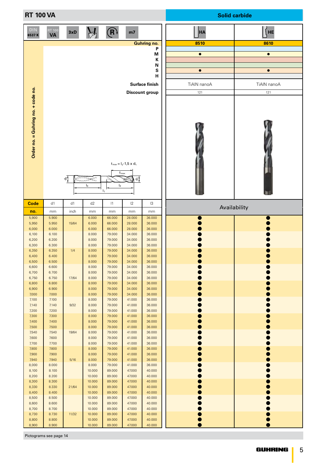| <b>RT 100 VA</b>                   |                            |       |                            |                                     |                                                           |                         |             | <b>Solid carbide</b> |
|------------------------------------|----------------------------|-------|----------------------------|-------------------------------------|-----------------------------------------------------------|-------------------------|-------------|----------------------|
| <b>DIN</b><br>6537K                | <b>RT 100</b><br><b>VA</b> | 3xD   |                            | $\left(\widehat{\mathsf{R}}\right)$ | m <sub>7</sub>                                            |                         | <b>HA</b>   | HE                   |
|                                    |                            |       |                            |                                     |                                                           | <b>Guhring no.</b><br>P | 8510        | 8610                 |
|                                    |                            |       |                            |                                     |                                                           | M                       | $\bullet$   | $\bullet$            |
|                                    |                            |       |                            |                                     |                                                           | Κ                       |             |                      |
|                                    |                            |       |                            |                                     |                                                           | N<br>S                  | $\bullet$   | $\bullet$            |
|                                    |                            |       |                            |                                     |                                                           | н                       |             |                      |
|                                    |                            |       |                            |                                     |                                                           | <b>Surface finish</b>   | TiAIN nanoA | TiAIN nanoA          |
|                                    |                            |       |                            |                                     |                                                           | <b>Discount group</b>   | 121         | 121                  |
| Order no. = Guhring no. + code no. |                            | ಕೆ.   | <sup>≔⋜⋛</sup> ⋛⋛<br>$I_3$ | I <sub>2</sub><br>$\mathsf{I}_1$    | $t_{max} = I_2 - 1.5 \times d_1$<br>$t_{\text{max}}$<br>하 |                         |             |                      |
| Code                               | d1                         | d1    | d2                         | 1                                   | 2                                                         | 13                      |             | Availability         |
| no.                                | mm                         | inch  | mm                         | mm                                  | mm                                                        | mm                      |             |                      |
| 5,900<br>5,950                     | 5.900<br>5.950             | 15/64 | 6.000<br>6.000             | 66.000<br>66.000                    | 28.000<br>28.000                                          | 36.000<br>36.000        |             |                      |
| 6,000                              | 6.000                      |       | 6.000                      | 66.000                              | 28.000                                                    | 36.000                  |             |                      |
| 6,100                              | 6.100                      |       | 8.000                      | 79.000                              | 34.000                                                    | 36.000                  |             |                      |
| 6,200<br>6,300                     | 6.200<br>6.300             |       | 8.000<br>8.000             | 79.000<br>79.000                    | 34.000<br>34.000                                          | 36.000<br>36.000        |             |                      |
| 6,350                              | 6.350                      | 1/4   | 8.000                      | 79.000                              | 34.000                                                    | 36.000                  |             |                      |
| 6,400                              | 6.400                      |       | 8.000                      | 79.000                              | 34.000                                                    | 36.000                  |             |                      |
| 6,500<br>6,600                     | 6.500<br>6.600             |       | 8.000<br>8.000             | 79.000<br>79.000                    | 34.000<br>34.000                                          | 36.000<br>36.000        |             |                      |
| 6,700                              | 6.700                      |       | 8.000                      | 79.000                              | 34.000                                                    | 36.000                  |             |                      |
| 6,750                              | 6.750                      | 17/64 | 8.000                      | 79.000                              | 34.000                                                    | 36.000                  |             |                      |
| 6,800<br>6,900                     | 6.800<br>6.900             |       | 8.000<br>8.000             | 79.000<br>79.000                    | 34.000<br>34.000                                          | 36.000<br>36.000        |             |                      |
| 7,000                              | 7.000                      |       | 8.000                      | 79.000                              | 34.000                                                    | 36.000                  |             |                      |
| 7,100                              | 7.100                      |       | 8.000                      | 79.000                              | 41.000                                                    | 36.000                  |             |                      |
| 7,140<br>7,200                     | 7.140<br>7.200             | 9/32  | 8.000<br>8.000             | 79.000<br>79.000                    | 41.000<br>41.000                                          | 36.000<br>36.000        |             |                      |
| 7,300                              | 7.300                      |       | 8.000                      | 79.000                              | 41.000                                                    | 36.000                  |             |                      |
| 7,400                              | 7.400                      |       | 8.000                      | 79.000                              | 41.000                                                    | 36.000                  |             |                      |
| 7,500<br>7,540                     | 7.500<br>7.540             | 19/64 | 8.000<br>8.000             | 79.000<br>79.000                    | 41.000<br>41.000                                          | 36.000<br>36.000        |             |                      |
| 7,600                              | 7.600                      |       | 8.000                      | 79.000                              | 41.000                                                    | 36.000                  |             |                      |
| 7,700                              | 7.700                      |       | 8.000                      | 79.000                              | 41.000                                                    | 36.000                  |             |                      |
| 7,800                              | 7.800                      |       | 8.000                      | 79.000                              | 41.000<br>41.000                                          | 36.000                  |             |                      |
| 7,900<br>7,940                     | 7.900<br>7.940             | 5/16  | 8.000<br>8.000             | 79.000<br>79.000                    | 41.000                                                    | 36.000<br>36.000        |             |                      |
| 8,000                              | 8.000                      |       | 8.000                      | 79.000                              | 41.000                                                    | 36.000                  |             |                      |
| 8,100                              | 8.100                      |       | 10.000                     | 89.000                              | 47.000                                                    | 40.000                  |             |                      |
| 8,200<br>8,300                     | 8.200<br>8.300             |       | 10.000<br>10.000           | 89.000<br>89.000                    | 47.000<br>47.000                                          | 40.000<br>40.000        |             |                      |
| 8,330                              | 8.330                      | 21/64 | 10.000                     | 89.000                              | 47.000                                                    | 40.000                  |             |                      |
| 8,400                              | 8.400                      |       | 10.000                     | 89.000                              | 47.000                                                    | 40.000                  |             |                      |
| 8,500<br>8,600                     | 8.500<br>8.600             |       | 10.000<br>10.000           | 89.000<br>89.000                    | 47.000<br>47.000                                          | 40.000<br>40.000        |             |                      |
| 8,700                              | 8.700                      |       | 10.000                     | 89.000                              | 47.000                                                    | 40.000                  |             |                      |
| 8,730                              | 8.730                      | 11/32 | 10.000                     | 89.000                              | 47.000                                                    | 40.000                  |             |                      |
| 8,800                              | 8.800                      |       | 10.000                     | 89.000                              | 47.000                                                    | 40.000                  |             |                      |
| 8,900                              | 8.900                      |       | 10.000                     | 89.000                              | 47.000                                                    | 40.000                  |             |                      |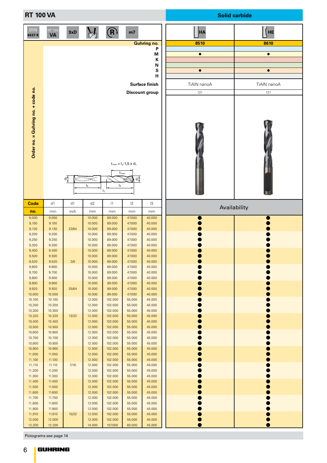| <b>RT 100 VA</b>                   |                            |       |                  |                                                                      |                                       |                         |             | <b>Solid carbide</b> |
|------------------------------------|----------------------------|-------|------------------|----------------------------------------------------------------------|---------------------------------------|-------------------------|-------------|----------------------|
| DIN<br>6537K                       | <b>RT 100</b><br><b>VA</b> | 3xD   |                  | $(\mathsf{R})$                                                       | m <sub>7</sub>                        |                         | <b>HA</b>   | <b>HE</b>            |
|                                    |                            |       |                  |                                                                      |                                       | <b>Guhring no.</b><br>P | 8510        | 8610                 |
|                                    |                            |       |                  |                                                                      |                                       | M                       | $\bullet$   | $\bullet$            |
|                                    |                            |       |                  |                                                                      |                                       | К<br>N                  |             |                      |
|                                    |                            |       |                  |                                                                      |                                       | S                       | $\bullet$   | $\bullet$            |
|                                    |                            |       |                  |                                                                      |                                       | н                       |             |                      |
|                                    |                            |       |                  |                                                                      |                                       | <b>Surface finish</b>   | TiAIN nanoA | TiAIN nanoA          |
|                                    |                            |       |                  |                                                                      |                                       | <b>Discount group</b>   | 121         | 121                  |
| Order no. = Guhring no. + code no. |                            | ಕಿ    | ⋍⋍⋽⋙<br>$I_3$    | $t_{\scriptscriptstyle \sf max}$<br>I <sub>2</sub><br>$\mathbf{I}_1$ | $t_{max} = I_2 - 1.5 \times d_1$<br>학 |                         |             |                      |
| <b>Code</b>                        | d1                         | d1    | d2               | 1                                                                    | $ 2\rangle$                           | $\mathsf{I}3$           |             | Availability         |
| no.<br>9,000                       | mm<br>9.000                | inch  | mm<br>10.000     | mm<br>89.000                                                         | mm<br>47.000                          | mm<br>40.000            |             |                      |
| 9,100                              | 9.100                      |       | 10.000           | 89.000                                                               | 47.000                                | 40.000                  |             |                      |
| 9,130                              | 9.130                      | 23/64 | 10.000           | 89.000                                                               | 47.000                                | 40.000                  |             |                      |
| 9,200<br>9,250                     | 9.200<br>9.250             |       | 10.000<br>10.000 | 89.000<br>89.000                                                     | 47.000<br>47.000                      | 40.000<br>40.000        |             |                      |
| 9,300                              | 9.300                      |       | 10.000           | 89.000                                                               | 47.000                                | 40.000                  |             |                      |
| 9,400<br>9,500                     | 9.400<br>9.500             |       | 10.000<br>10.000 | 89.000<br>89.000                                                     | 47.000<br>47.000                      | 40.000<br>40.000        |             |                      |
| 9,520                              | 9.520                      | 3/8   | 10.000           | 89.000                                                               | 47.000                                | 40.000                  |             |                      |
| 9,600<br>9,700                     | 9.600<br>9.700             |       | 10.000<br>10.000 | 89.000<br>89.000                                                     | 47.000<br>47.000                      | 40.000<br>40.000        |             |                      |
| 9,800                              | 9.800                      |       | 10.000           | 89.000                                                               | 47.000                                | 40.000                  |             |                      |
| 9,900                              | 9.900                      |       | 10.000           | 89.000                                                               | 47.000                                | 40.000                  |             |                      |
| 9,920<br>10,000                    | 9.920<br>10.000            | 25/64 | 10.000<br>10.000 | 89.000<br>89.000                                                     | 47.000<br>47.000                      | 40.000<br>40.000        |             |                      |
| 10,100                             | 10.100                     |       | 12.000           | 102.000                                                              | 55.000                                | 45.000                  |             |                      |
| 10,200<br>10,300                   | 10.200<br>10.300           |       | 12.000<br>12.000 | 102.000<br>102.000                                                   | 55.000<br>55.000                      | 45.000<br>45.000        |             |                      |
| 10,320                             | 10.320                     | 13/32 | 12.000           | 102.000                                                              | 55.000                                | 45.000                  |             |                      |
| 10,400                             | 10.400                     |       | 12.000           | 102.000                                                              | 55.000                                | 45.000                  |             |                      |
| 10,500<br>10,600                   | 10.500<br>10.600           |       | 12.000<br>12.000 | 102.000<br>102.000                                                   | 55.000<br>55.000                      | 45.000<br>45.000        |             |                      |
| 10,700                             | 10.700                     |       | 12.000           | 102.000                                                              | 55.000                                | 45.000                  |             |                      |
| 10,800                             | 10.800                     |       | 12.000           | 102.000                                                              | 55.000                                | 45.000                  |             |                      |
| 10,900<br>11,000                   | 10.900<br>11.000           |       | 12.000<br>12.000 | 102.000<br>102.000                                                   | 55.000<br>55.000                      | 45.000<br>45.000        |             |                      |
| 11,100                             | 11.100                     |       | 12.000           | 102.000                                                              | 55.000                                | 45.000                  |             |                      |
| 11,110                             | 11.110                     | 7/16  | 12.000           | 102.000                                                              | 55.000                                | 45.000                  |             |                      |
| 11,200<br>11,300                   | 11.200<br>11.300           |       | 12.000<br>12.000 | 102.000<br>102.000                                                   | 55.000<br>55.000                      | 45.000<br>45.000        |             |                      |
| 11,400                             | 11.400                     |       | 12.000           | 102.000                                                              | 55.000                                | 45.000                  |             |                      |
| 11,500                             | 11.500                     |       | 12.000           | 102.000                                                              | 55.000                                | 45.000                  |             |                      |
| 11,600<br>11,700                   | 11.600<br>11.700           |       | 12.000<br>12.000 | 102.000<br>102.000                                                   | 55.000<br>55.000                      | 45.000<br>45.000        |             |                      |
| 11,800                             | 11.800                     |       | 12.000           | 102.000                                                              | 55.000                                | 45.000                  |             |                      |
| 11,900<br>11,910                   | 11.900<br>11.910           | 15/32 | 12.000<br>12.000 | 102.000<br>102.000                                                   | 55.000<br>55.000                      | 45.000<br>45.000        |             |                      |
| 12,000                             | 12.000                     |       | 12.000           | 102.000                                                              | 55.000                                | 45.000                  |             |                      |
| 12,200                             | 12.200                     |       | 14.000           | 107.000                                                              | 60.000                                | 45.000                  |             |                      |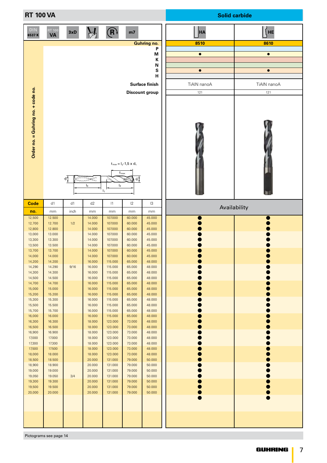| <b>RT 100 VA</b>                   |                            |      |                       |                                  |                                                           |                         |             | <b>Solid carbide</b> |
|------------------------------------|----------------------------|------|-----------------------|----------------------------------|-----------------------------------------------------------|-------------------------|-------------|----------------------|
| <b>DIN</b><br>6537K                | <b>RT 100</b><br><b>VA</b> | 3xD  |                       | $\left(\mathsf{R}\right)$        | m7                                                        |                         | <b>HA</b>   | HE                   |
|                                    |                            |      |                       |                                  |                                                           | <b>Guhring no.</b><br>P | 8510        | 8610                 |
|                                    |                            |      |                       |                                  |                                                           | M                       | $\bullet$   | $\bullet$            |
|                                    |                            |      |                       |                                  |                                                           | К<br>N                  |             |                      |
|                                    |                            |      |                       |                                  |                                                           | S                       | $\bullet$   | $\bullet$            |
|                                    |                            |      |                       |                                  |                                                           | н                       |             |                      |
|                                    |                            |      |                       |                                  |                                                           | <b>Surface finish</b>   | TiAIN nanoA | TiAIN nanoA          |
| Order no. = Guhring no. + code no. |                            | ಕೆ   | <sup>⋰</sup><br>$I_3$ | I <sub>2</sub><br>$\mathsf{I}_1$ | $t_{max} = I_2 - 1.5 \times d_1$<br>$t_{\text{max}}$<br>학 | <b>Discount group</b>   | 121         | 121                  |
| Code                               | d1                         | d1   | d2                    | 1                                | 2                                                         | $\mathsf{I}3$           |             | Availability         |
| no.<br>12,500                      | mm<br>12.500               | inch | mm<br>14.000          | mm<br>107.000                    | mm<br>60.000                                              | mm<br>45.000            |             |                      |
| 12,700                             | 12.700                     | 1/2  | 14.000                | 107.000                          | 60.000                                                    | 45.000                  |             |                      |
| 12,800<br>13,000                   | 12.800<br>13.000           |      | 14.000<br>14.000      | 107.000<br>107.000               | 60.000<br>60.000                                          | 45.000<br>45.000        |             |                      |
| 13,300                             | 13.300                     |      | 14.000                | 107.000                          | 60.000                                                    | 45.000                  |             |                      |
| 13,500<br>13,700                   | 13.500<br>13.700           |      | 14.000<br>14.000      | 107.000<br>107.000               | 60.000<br>60.000                                          | 45.000<br>45.000        |             |                      |
| 14,000                             | 14.000                     |      | 14.000                | 107.000                          | 60.000                                                    | 45.000                  |             |                      |
| 14,200<br>14,290                   | 14.200<br>14.290           | 9/16 | 16.000<br>16.000      | 115.000<br>115.000               | 65.000<br>65.000                                          | 48.000<br>48.000        |             |                      |
| 14,300                             | 14.300                     |      | 16.000                | 115.000                          | 65.000                                                    | 48.000                  |             |                      |
| 14,500<br>14,700                   | 14.500<br>14.700           |      | 16.000<br>16.000      | 115.000<br>115.000               | 65.000<br>65.000                                          | 48.000<br>48.000        |             |                      |
| 15,000                             | 15.000                     |      | 16.000                | 115.000                          | 65.000                                                    | 48.000                  |             |                      |
| 15,200<br>15,300                   | 15.200<br>15.300           |      | 16.000<br>16.000      | 115.000<br>115.000               | 65.000<br>65.000                                          | 48.000<br>48.000        |             |                      |
| 15,500                             | 15.500                     |      | 16.000                | 115.000                          | 65.000                                                    | 48.000                  |             |                      |
| 15,700<br>16,000                   | 15.700<br>16.000           |      | 16.000<br>16.000      | 115.000<br>115.000               | 65.000<br>65.000                                          | 48.000<br>48.000        |             |                      |
| 16,300                             | 16.300                     |      | 18.000                | 123.000                          | 73.000                                                    | 48.000                  |             |                      |
| 16,500<br>16,900                   | 16.500<br>16.900           |      | 18.000<br>18.000      | 123.000<br>123.000               | 73.000<br>73.000                                          | 48.000<br>48.000        |             |                      |
| 17,000                             | 17.000                     |      | 18.000                | 123.000                          | 73.000                                                    | 48.000                  |             |                      |
| 17,300<br>17,500                   | 17.300<br>17.500           |      | 18.000<br>18.000      | 123.000<br>123.000               | 73.000<br>73.000                                          | 48.000<br>48.000        |             |                      |
| 18,000                             | 18.000                     |      | 18.000                | 123.000                          | 73.000                                                    | 48.000                  |             |                      |
| 18,500<br>18,900                   | 18.500<br>18.900           |      | 20.000<br>20.000      | 131.000<br>131.000               | 79.000<br>79.000                                          | 50.000<br>50.000        |             |                      |
| 19,000                             | 19.000                     |      | 20.000                | 131.000                          | 79.000                                                    | 50.000                  |             |                      |
| 19,050<br>19,300                   | 19.050<br>19.300           | 3/4  | 20.000<br>20.000      | 131.000<br>131.000               | 79.000<br>79.000                                          | 50.000<br>50.000        |             |                      |
| 19,500                             | 19.500                     |      | 20.000                | 131.000                          | 79.000                                                    | 50.000                  |             |                      |
| 20,000                             | 20.000                     |      | 20.000                | 131.000                          | 79.000                                                    | 50.000                  |             |                      |
|                                    |                            |      |                       |                                  |                                                           |                         |             |                      |
|                                    |                            |      |                       |                                  |                                                           |                         |             |                      |
|                                    |                            |      |                       |                                  |                                                           |                         |             |                      |
|                                    |                            |      |                       |                                  |                                                           |                         |             |                      |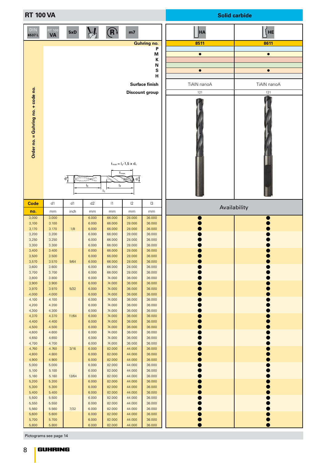| <b>RT 100 VA</b>                   |                     |        |                |                                  |                                                                  |                         |              | <b>Solid carbide</b> |
|------------------------------------|---------------------|--------|----------------|----------------------------------|------------------------------------------------------------------|-------------------------|--------------|----------------------|
| <b>DIN</b><br>6537L                | RT 100<br><b>VA</b> | 5xD    |                | $(\mathsf{R})$                   | m <sub>7</sub>                                                   |                         | <b>HA</b>    | HE                   |
|                                    |                     |        |                |                                  |                                                                  | <b>Guhring no.</b><br>P | 8511         | 8611                 |
|                                    |                     |        |                |                                  |                                                                  | M                       | $\bullet$    | $\bullet$            |
|                                    |                     |        |                |                                  |                                                                  | К                       |              |                      |
|                                    |                     |        |                |                                  |                                                                  | N                       |              |                      |
|                                    |                     |        |                |                                  |                                                                  | S<br>н                  | $\bullet$    | $\bullet$            |
|                                    |                     |        |                |                                  |                                                                  | Surface finish          |              | TiAIN nanoA          |
|                                    |                     |        |                |                                  |                                                                  |                         | TiAIN nanoA  |                      |
|                                    |                     |        |                |                                  |                                                                  | <b>Discount group</b>   | 121          | 121                  |
| Order no. = Guhring no. + code no. |                     | ಕೆ     | ⋐⋑⋐<br>$I_3$   | I <sub>2</sub><br>$\mathsf{I}_1$ | $t_{max} = I_2 - 1.5 \times d_1$<br>$t_{\text{max}}$<br>$\sigma$ |                         |              |                      |
| <b>Code</b>                        | d1                  | d1     | d2             | 1                                | $ 2\rangle$                                                      | 13                      | Availability |                      |
| no.                                | mm<br>3.000         | inch   | mm<br>6.000    | mm<br>66.000                     | mm                                                               | mm<br>36.000            |              |                      |
| 3,000<br>3,100                     | 3.100               |        | 6.000          | 66.000                           | 28.000<br>28.000                                                 | 36.000                  |              |                      |
| 3,170                              | 3.170               | 1/8    | 6.000          | 66.000                           | 28.000                                                           | 36.000                  |              |                      |
| 3,200                              | 3.200               |        | 6.000          | 66.000                           | 28.000                                                           | 36.000                  |              |                      |
| 3,250<br>3,300                     | 3.250<br>3.300      |        | 6.000<br>6.000 | 66.000<br>66.000                 | 28.000<br>28.000                                                 | 36.000<br>36.000        |              |                      |
| 3,400                              | 3.400               |        | 6.000          | 66.000                           | 28.000                                                           | 36.000                  |              |                      |
| 3,500                              | 3.500               |        | 6.000          | 66.000                           | 28.000                                                           | 36.000                  |              |                      |
| 3,570                              | 3.570               | 9/64   | 6.000          | 66.000                           | 28.000                                                           | 36.000                  |              |                      |
| 3,600<br>3,700                     | 3.600<br>3.700      |        | 6.000<br>6.000 | 66.000<br>66.000                 | 28.000<br>28.000                                                 | 36.000<br>36.000        |              |                      |
| 3,800                              | 3.800               |        | 6.000          | 74.000                           | 36.000                                                           | 36.000                  |              |                      |
| 3,900                              | 3.900               |        | 6.000          | 74.000                           | 36.000                                                           | 36.000                  |              |                      |
| 3,970                              | 3.970               | 5/32   | 6.000          | 74.000                           | 36.000                                                           | 36.000                  |              |                      |
| 4,000                              | 4.000               |        | 6.000          | 74.000                           | 36.000                                                           | 36.000                  |              |                      |
| 4,100<br>4,200                     | 4.100<br>4.200      |        | 6.000<br>6.000 | 74.000<br>74.000                 | 36.000<br>36.000                                                 | 36.000<br>36.000        |              |                      |
| 4,300                              | 4.300               |        | 6.000          | 74.000                           | 36.000                                                           | 36.000                  |              |                      |
| 4,370                              | 4.370               | 11/64  | 6.000          | 74.000                           | 36.000                                                           | 36.000                  |              |                      |
| 4,400                              | 4.400               |        | 6.000          | 74.000                           | 36.000                                                           | 36.000                  |              |                      |
| 4,500                              | 4.500               |        | 6.000          | 74.000                           | 36.000                                                           | 36.000                  |              |                      |
| 4,600<br>4,650                     | 4.600<br>4.650      |        | 6.000<br>6.000 | 74.000<br>74.000                 | 36.000<br>36.000                                                 | 36.000<br>36.000        |              |                      |
| 4,700                              | 4.700               |        | 6.000          | 74.000                           | 36.000                                                           | 36.000                  |              |                      |
| 4,760                              | 4.760               | 3/16   | 6.000          | 82.000                           | 44.000                                                           | 36.000                  |              |                      |
| 4,800                              | 4.800               |        | 6.000          | 82.000                           | 44.000                                                           | 36.000                  |              |                      |
| 4,900                              | 4.900               |        | 6.000          | 82.000<br>82.000                 | 44.000                                                           | 36.000<br>36.000        |              |                      |
| 5,000<br>5,100                     | 5.000<br>5.100      |        | 6.000<br>6.000 | 82.000                           | 44.000<br>44.000                                                 | 36.000                  |              |                      |
| 5,160                              | 5.160               | 13/64  | 6.000          | 82.000                           | 44.000                                                           | 36.000                  |              |                      |
| 5,200                              | 5.200               |        | 6.000          | 82.000                           | 44.000                                                           | 36.000                  |              |                      |
| 5,300                              | 5.300               |        | 6.000          | 82.000                           | 44.000                                                           | 36.000                  |              |                      |
| 5,400<br>5,500                     | 5.400<br>5.500      |        | 6.000<br>6.000 | 82.000<br>82.000                 | 44.000<br>44.000                                                 | 36.000<br>36.000        |              |                      |
| 5,550                              | 5.550               |        | 6.000          | 82.000                           | 44.000                                                           | 36.000                  |              |                      |
| 5,560                              | 5.560               | $7/32$ | 6.000          | 82.000                           | 44.000                                                           | 36.000                  |              |                      |
| 5,600                              | 5.600               |        | 6.000          | 82.000                           | 44.000                                                           | 36.000                  |              |                      |
| 5,700                              | 5.700               |        | 6.000          | 82.000                           | 44.000                                                           | 36.000                  |              |                      |
| 5,800                              | 5.800               |        | 6.000          | 82.000                           | 44.000                                                           | 36.000                  |              |                      |

f.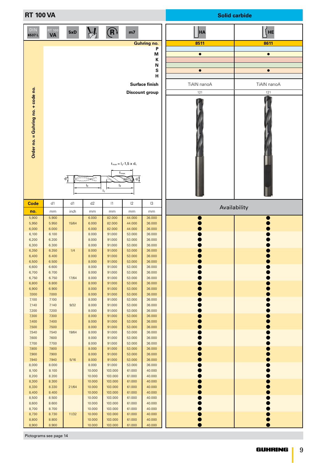| <b>RT 100 VA</b>                   |                            |       |                  |                                  |                                                                                                                     |                         |             | <b>Solid carbide</b> |
|------------------------------------|----------------------------|-------|------------------|----------------------------------|---------------------------------------------------------------------------------------------------------------------|-------------------------|-------------|----------------------|
| <b>DIN</b><br>6537L                | <b>RT 100</b><br><b>VA</b> | 5xD   |                  | (R)                              | m <sub>7</sub>                                                                                                      |                         | <b>HA</b>   | HE                   |
|                                    |                            |       |                  |                                  |                                                                                                                     | <b>Guhring no.</b><br>P | 8511        | 8611                 |
|                                    |                            |       |                  |                                  |                                                                                                                     | M                       | $\bullet$   | $\bullet$            |
|                                    |                            |       |                  |                                  |                                                                                                                     | К<br>N                  |             |                      |
|                                    |                            |       |                  |                                  |                                                                                                                     | S                       | $\bullet$   | $\bullet$            |
|                                    |                            |       |                  |                                  |                                                                                                                     | н                       |             |                      |
|                                    |                            |       |                  |                                  |                                                                                                                     | <b>Surface finish</b>   | TiAIN nanoA | TiAIN nanoA          |
| Order no. = Guhring no. + code no. |                            | ಕೆ.   | ⋽⋽⋝⋚⋽<br>$I_3$   | I <sub>2</sub><br>I <sub>1</sub> | $\mathbf{t}_{\text{max}} = \mathbf{I}_2\text{-}1, 5 \times \mathbf{d}_1$<br>$t_{\text{max}}$<br>$-\varepsilon$<br>⋙ | <b>Discount group</b>   | 121         | 121                  |
| <b>Code</b>                        | d1                         | d1    | d2               | 1                                | 2                                                                                                                   | 13                      |             | Availability         |
| no.                                | mm                         | inch  | mm               | mm                               | mm                                                                                                                  | mm                      |             |                      |
| 5,900<br>5,950                     | 5.900<br>5.950             | 15/64 | 6.000<br>6.000   | 82.000<br>82.000                 | 44.000<br>44.000                                                                                                    | 36.000<br>36.000        |             |                      |
| 6,000                              | 6.000<br>6.100             |       | 6.000<br>8.000   | 82.000<br>91.000                 | 44.000<br>53.000                                                                                                    | 36.000<br>36.000        |             |                      |
| 6,100<br>6,200                     | 6.200                      |       | 8.000            | 91.000                           | 53.000                                                                                                              | 36.000                  |             |                      |
| 6,300                              | 6.300<br>6.350             |       | 8.000<br>8.000   | 91.000<br>91.000                 | 53.000<br>53.000                                                                                                    | 36.000<br>36.000        |             |                      |
| 6,350<br>6,400                     | 6.400                      | 1/4   | 8.000            | 91.000                           | 53.000                                                                                                              | 36.000                  |             |                      |
| 6,500                              | 6.500<br>6.600             |       | 8.000<br>8.000   | 91.000                           | 53.000                                                                                                              | 36.000                  |             |                      |
| 6,600<br>6,700                     | 6.700                      |       | 8.000            | 91.000<br>91.000                 | 53.000<br>53.000                                                                                                    | 36.000<br>36.000        |             |                      |
| 6,750                              | 6.750<br>6.800             | 17/64 | 8.000            | 91.000<br>91.000                 | 53.000                                                                                                              | 36.000                  |             |                      |
| 6,800<br>6,900                     | 6.900                      |       | 8.000<br>8.000   | 91.000                           | 53.000<br>53.000                                                                                                    | 36.000<br>36.000        |             |                      |
| 7,000                              | 7.000                      |       | 8.000            | 91.000                           | 53.000                                                                                                              | 36.000                  |             |                      |
| 7,100<br>7,140                     | 7.100<br>7.140             | 9/32  | 8.000<br>8.000   | 91.000<br>91.000                 | 53.000<br>53.000                                                                                                    | 36.000<br>36.000        |             |                      |
| 7,200                              | 7.200                      |       | 8.000            | 91.000                           | 53.000                                                                                                              | 36.000                  |             |                      |
| 7,300<br>7,400                     | 7.300<br>7.400             |       | 8.000<br>8.000   | 91.000<br>91.000                 | 53.000<br>53.000                                                                                                    | 36.000<br>36.000        |             |                      |
| 7,500                              | 7.500                      |       | 8.000            | 91.000                           | 53.000                                                                                                              | 36.000                  |             |                      |
| 7,540<br>7,600                     | 7.540<br>7.600             | 19/64 | 8.000<br>8.000   | 91.000<br>91.000                 | 53.000<br>53.000                                                                                                    | 36.000<br>36.000        |             |                      |
| 7,700                              | 7.700                      |       | 8.000            | 91.000                           | 53.000                                                                                                              | 36.000                  |             |                      |
| 7,800<br>7,900                     | 7.800<br>7.900             |       | 8.000<br>8.000   | 91.000<br>91.000                 | 53.000<br>53.000                                                                                                    | 36.000<br>36.000        |             |                      |
| 7,940                              | 7.940                      | 5/16  | 8.000            | 91.000                           | 53.000                                                                                                              | 36.000                  |             |                      |
| 8,000<br>8,100                     | 8.000<br>8.100             |       | 8.000<br>10.000  | 91.000<br>103.000                | 53.000<br>61.000                                                                                                    | 36.000<br>40.000        |             |                      |
| 8,200                              | 8.200                      |       | 10.000           | 103.000                          | 61.000                                                                                                              | 40.000                  |             |                      |
| 8,300<br>8,330                     | 8.300<br>8.330             | 21/64 | 10.000<br>10.000 | 103.000<br>103.000               | 61.000<br>61.000                                                                                                    | 40.000<br>40.000        |             |                      |
| 8,400                              | 8.400                      |       | 10.000           | 103.000                          | 61.000                                                                                                              | 40.000                  |             |                      |
| 8,500<br>8,600                     | 8.500<br>8.600             |       | 10.000<br>10.000 | 103.000<br>103.000               | 61.000<br>61.000                                                                                                    | 40.000<br>40.000        |             |                      |
| 8,700                              | 8.700                      |       | 10.000           | 103.000                          | 61.000                                                                                                              | 40.000                  |             |                      |
| 8,730<br>8,800                     | 8.730<br>8.800             | 11/32 | 10.000<br>10.000 | 103.000<br>103.000               | 61.000<br>61.000                                                                                                    | 40.000<br>40.000        |             |                      |
| 8,900                              | 8.900                      |       | 10.000           | 103.000                          | 61.000                                                                                                              | 40.000                  |             |                      |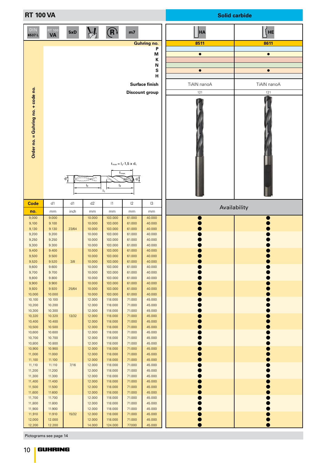| <b>RT 100 VA</b>                   |                     |       |                            |                                                      |                                       |                                                                                                    |                                                      | <b>Solid carbide</b>                                 |
|------------------------------------|---------------------|-------|----------------------------|------------------------------------------------------|---------------------------------------|----------------------------------------------------------------------------------------------------|------------------------------------------------------|------------------------------------------------------|
| <b>DIN</b><br>6537L                | RT 100<br><b>VA</b> | 5xD   |                            | $(\mathsf{R})$                                       | m <sub>7</sub>                        |                                                                                                    | <b>HA</b>                                            | HE                                                   |
| Order no. = Guhring no. + code no. |                     | ಕೆ    | <del>⋍⋾⋝</del> ⋝⋸<br>$I_3$ | $t_{\text{max}}$<br>$\mathsf{I}_2$<br>$\mathsf{I}_1$ | $t_{max} = I_2 - 1.5 \times d_1$<br>하 | <b>Guhring no.</b><br>P<br>М<br>К<br>N<br>S<br>н<br><b>Surface finish</b><br><b>Discount group</b> | 8511<br>$\bullet$<br>$\bullet$<br>TiAIN nanoA<br>121 | 8611<br>$\bullet$<br>$\bullet$<br>TiAIN nanoA<br>121 |
| <b>Code</b>                        | d1                  | d1    | d2                         | 1                                                    | $ 2\rangle$                           | 13                                                                                                 | Availability                                         |                                                      |
| no.<br>9,000                       | mm<br>9.000         | inch  | mm<br>10.000               | mm<br>103.000                                        | mm<br>61.000                          | mm<br>40.000                                                                                       |                                                      |                                                      |
| 9,100                              | 9.100               |       | 10.000                     | 103.000                                              | 61.000                                | 40.000                                                                                             |                                                      |                                                      |
| 9,130<br>9,200                     | 9.130<br>9.200      | 23/64 | 10.000<br>10.000           | 103.000<br>103.000                                   | 61.000<br>61.000                      | 40.000<br>40.000                                                                                   |                                                      |                                                      |
| 9,250<br>9,300                     | 9.250<br>9.300      |       | 10.000<br>10.000           | 103.000<br>103.000                                   | 61.000<br>61.000                      | 40.000<br>40.000                                                                                   |                                                      |                                                      |
| 9,400                              | 9.400               |       | 10.000                     | 103.000                                              | 61.000                                | 40.000                                                                                             |                                                      |                                                      |
| 9,500<br>9,520                     | 9.500<br>9.520      | 3/8   | 10.000<br>10.000           | 103.000<br>103.000                                   | 61.000<br>61.000                      | 40.000<br>40.000                                                                                   |                                                      |                                                      |
| 9,600<br>9,700                     | 9.600<br>9.700      |       | 10.000<br>10.000           | 103.000<br>103.000                                   | 61.000<br>61.000                      | 40.000<br>40.000                                                                                   |                                                      |                                                      |
| 9,800                              | 9.800               |       | 10.000                     | 103.000                                              | 61.000                                | 40.000                                                                                             |                                                      |                                                      |
| 9,900<br>9,920                     | 9.900<br>9.920      | 25/64 | 10.000<br>10.000           | 103.000<br>103.000                                   | 61.000<br>61.000                      | 40.000<br>40.000                                                                                   |                                                      |                                                      |
| 10,000<br>10,100                   | 10.000<br>10.100    |       | 10.000<br>12.000           | 103.000<br>118.000                                   | 61.000<br>71.000                      | 40.000<br>45.000                                                                                   |                                                      |                                                      |
| 10,200<br>10,300                   | 10.200<br>10.300    |       | 12.000<br>12.000           | 118.000<br>118.000                                   | 71.000<br>71.000                      | 45.000<br>45.000                                                                                   |                                                      |                                                      |
| 10,320                             | 10.320              | 13/32 | 12.000                     | 118.000                                              | 71.000                                | 45.000                                                                                             |                                                      |                                                      |
| 10,400<br>10,500                   | 10.400<br>10.500    |       | 12.000<br>12.000           | 118.000<br>118.000                                   | 71.000<br>71.000                      | 45.000<br>45.000                                                                                   |                                                      |                                                      |
| 10,600<br>10,700                   | 10.600<br>10.700    |       | 12.000<br>12.000           | 118.000<br>118.000                                   | 71.000<br>71.000                      | 45.000<br>45.000                                                                                   |                                                      |                                                      |
| 10,800                             | 10.800              |       | 12.000                     | 118.000<br>118.000                                   | 71.000                                | 45.000                                                                                             |                                                      |                                                      |
| 10,900<br>11,000                   | 10.900<br>11.000    |       | 12.000<br>12.000           | 118.000                                              | 71.000<br>71.000                      | 45.000<br>45.000                                                                                   |                                                      |                                                      |
| 11,100<br>11,110                   | 11.100<br>11.110    | 7/16  | 12.000<br>12.000           | 118.000<br>118.000                                   | 71.000<br>71.000                      | 45.000<br>45.000                                                                                   |                                                      |                                                      |
| 11,200<br>11,300                   | 11.200<br>11.300    |       | 12.000<br>12.000           | 118.000<br>118.000                                   | 71.000<br>71.000                      | 45.000<br>45.000                                                                                   |                                                      |                                                      |
| 11,400<br>11,500                   | 11.400<br>11.500    |       | 12.000<br>12.000           | 118.000<br>118.000                                   | 71.000<br>71.000                      | 45.000<br>45.000                                                                                   |                                                      |                                                      |
| 11,600                             | 11.600              |       | 12.000                     | 118.000                                              | 71.000                                | 45.000                                                                                             |                                                      |                                                      |
| 11,700<br>11,800                   | 11.700<br>11.800    |       | 12.000<br>12.000           | 118.000<br>118.000                                   | 71.000<br>71.000                      | 45.000<br>45.000                                                                                   |                                                      |                                                      |
| 11,900<br>11,910                   | 11.900<br>11.910    | 15/32 | 12.000<br>12.000           | 118.000<br>118.000                                   | 71.000<br>71.000                      | 45.000<br>45.000                                                                                   |                                                      |                                                      |
| 12,000                             | 12.000              |       | 12.000                     | 118.000                                              | 71.000                                | 45.000                                                                                             |                                                      |                                                      |
| 12,200                             | 12.200              |       | 14.000                     | 124.000                                              | 77.000                                | 45.000                                                                                             |                                                      |                                                      |

f.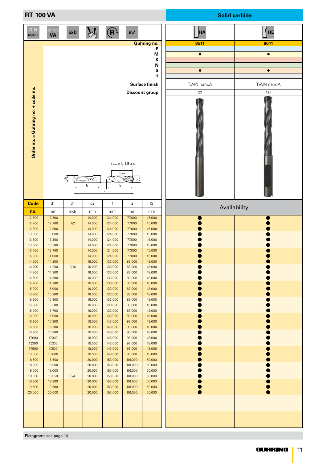| <b>RT 100 VA</b>                   |                            |      |                  |                                                      |                                                   |                         |             | <b>Solid carbide</b> |
|------------------------------------|----------------------------|------|------------------|------------------------------------------------------|---------------------------------------------------|-------------------------|-------------|----------------------|
| <b>DIN</b><br>6537L                | <b>RT 100</b><br><b>VA</b> | 5xD  |                  | $(\mathsf{R})$                                       | m <sub>7</sub>                                    |                         | <b>HA</b>   | HE                   |
|                                    |                            |      |                  |                                                      |                                                   | <b>Guhring no.</b><br>P | 8511        | 8611                 |
|                                    |                            |      |                  |                                                      |                                                   | M                       | $\bullet$   | $\bullet$            |
|                                    |                            |      |                  |                                                      |                                                   | К<br>N                  |             |                      |
|                                    |                            |      |                  |                                                      |                                                   | ${\bf s}$               | $\bullet$   | $\bullet$            |
|                                    |                            |      |                  |                                                      |                                                   | н                       |             |                      |
|                                    |                            |      |                  |                                                      |                                                   | <b>Surface finish</b>   | TiAIN nanoA | TiAIN nanoA          |
|                                    |                            |      |                  |                                                      |                                                   | <b>Discount group</b>   | 121         | 121                  |
| Order no. = Guhring no. + code no. |                            | ಕೆ   | ₹<br>$I_3$       | $t_{\text{max}}$<br>$\mathsf{I}_2$<br>$\mathsf{I}_1$ | $t_{max} = I_2 - 1.5 \times d_1$<br>$\sigma$<br>≋ |                         |             |                      |
| Code                               | d1                         | d1   | d2               | 1                                                    | 2                                                 | 13                      |             | Availability         |
| no.<br>12,500                      | mm<br>12.500               | inch | mm<br>14.000     | mm<br>124.000                                        | mm<br>77.000                                      | mm<br>45.000            |             |                      |
| 12,700                             | 12.700                     | 1/2  | 14.000           | 124.000                                              | 77.000                                            | 45.000                  |             |                      |
| 12,800                             | 12.800                     |      | 14.000           | 124.000                                              | 77.000                                            | 45.000                  |             |                      |
| 13,000<br>13,300                   | 13.000<br>13.300           |      | 14.000<br>14.000 | 124.000<br>124.000                                   | 77.000<br>77.000                                  | 45.000<br>45.000        |             |                      |
| 13,500                             | 13.500                     |      | 14.000           | 124.000                                              | 77.000                                            | 45.000                  |             |                      |
| 13,700<br>14,000                   | 13.700<br>14.000           |      | 14.000<br>14.000 | 124.000<br>124.000                                   | 77.000<br>77.000                                  | 45.000<br>45.000        |             |                      |
| 14,200                             | 14.200                     |      | 16.000           | 133.000                                              | 83.000                                            | 48.000                  |             |                      |
| 14,290<br>14,300                   | 14.290<br>14.300           | 9/16 | 16.000<br>16.000 | 133.000<br>133.000                                   | 83.000<br>83.000                                  | 48.000<br>48.000        |             |                      |
| 14,500                             | 14.500                     |      | 16.000           | 133.000                                              | 83.000                                            | 48.000                  |             |                      |
| 14,700                             | 14.700                     |      | 16.000           | 133.000                                              | 83.000                                            | 48.000                  |             |                      |
| 15,000<br>15,200                   | 15.000<br>15.200           |      | 16.000<br>16.000 | 133.000<br>133.000                                   | 83.000<br>83.000                                  | 48.000<br>48.000        |             |                      |
| 15,300                             | 15.300                     |      | 16.000           | 133.000                                              | 83.000                                            | 48.000                  |             |                      |
| 15,500<br>15,700                   | 15.500<br>15.700           |      | 16.000<br>16.000 | 133.000<br>133.000                                   | 83.000<br>83.000                                  | 48.000<br>48.000        |             |                      |
| 16,000                             | 16.000                     |      | 16.000           | 133.000                                              | 83.000                                            | 48.000                  |             |                      |
| 16,300<br>16,500                   | 16.300<br>16.500           |      | 18.000<br>18.000 | 143.000<br>143.000                                   | 93.000<br>93.000                                  | 48.000<br>48.000        |             |                      |
| 16,900                             | 16.900                     |      | 18.000           | 143.000                                              | 93.000                                            | 48.000                  |             |                      |
| 17,000<br>17,300                   | 17.000<br>17.300           |      | 18.000<br>18.000 | 143.000<br>143.000                                   | 93.000<br>93.000                                  | 48.000<br>48.000        |             |                      |
| 17,500                             | 17.500                     |      | 18.000           | 143.000                                              | 93.000                                            | 48.000                  |             |                      |
| 18,000                             | 18.000                     |      | 18.000           | 143.000                                              | 93.000                                            | 48.000                  |             |                      |
| 18,500<br>18,900                   | 18.500<br>18.900           |      | 20.000<br>20.000 | 153.000<br>153.000                                   | 101.000<br>101.000                                | 50.000<br>50.000        |             |                      |
| 19,000                             | 19.000                     |      | 20.000           | 153.000                                              | 101.000                                           | 50.000                  |             |                      |
| 19,050<br>19,300                   | 19.050<br>19.300           | 3/4  | 20.000<br>20.000 | 153.000<br>153.000                                   | 101.000<br>101.000                                | 50.000<br>50.000        |             |                      |
| 19,500                             | 19.500                     |      | 20.000           | 153.000                                              | 101.000                                           | 50.000                  |             |                      |
| 20,000                             | 20.000                     |      | 20.000           | 153.000                                              | 101.000                                           | 50.000                  |             |                      |
|                                    |                            |      |                  |                                                      |                                                   |                         |             |                      |
|                                    |                            |      |                  |                                                      |                                                   |                         |             |                      |
|                                    |                            |      |                  |                                                      |                                                   |                         |             |                      |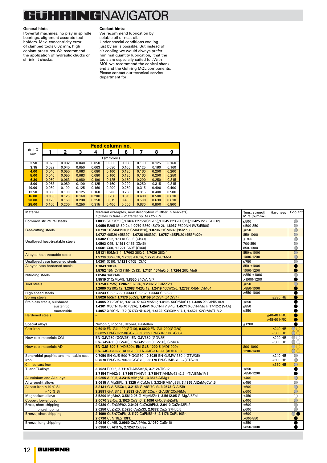#### **JHRINGNAVIGATOR** t

#### **General hints**:

Powerful machines, no play in spindle bearings, alignment accurate tool holders. Max. concentricity error of clamped tools 0.02 mm, high coolant pressures. We recommend the application of hydraulic chucks or shrink fit chucks.

#### **Coolant hints:**

We recommend lubrication by soluble oil or neat oil. Under special conditions cooling just by air is possible. But instead of air cooling we would always prefer minimal quantity lubrication, that the tools are especially suited for. With MQL we recommend the conical shank end and the Guhring MQL components. Please contact our technical service department for .

| drill-Ø                                             |                |                |                |                | Feed column no.                                                                 |                |                                                                            |                |                |                                                                               |                          |                  |                          |
|-----------------------------------------------------|----------------|----------------|----------------|----------------|---------------------------------------------------------------------------------|----------------|----------------------------------------------------------------------------|----------------|----------------|-------------------------------------------------------------------------------|--------------------------|------------------|--------------------------|
| mm                                                  | 1              | 2              | 3              | 4              | 5                                                                               | 6              | 7                                                                          | 8              | 9              |                                                                               |                          |                  |                          |
|                                                     |                |                |                |                | $f$ (mm/rev.)                                                                   |                |                                                                            |                |                |                                                                               |                          |                  |                          |
| 2.50                                                | 0.025          | 0.032          | 0.040          | 0.050          | 0.063                                                                           | 0.080          | 0.100                                                                      | 0.125          | 0.160          |                                                                               |                          |                  |                          |
| 3.15<br>4.00                                        | 0.032<br>0.040 | 0.040<br>0.050 | 0.050<br>0.063 | 0.063<br>0.080 | 0.080<br>0.100                                                                  | 0.100<br>0.125 | 0.125<br>0.160                                                             | 0.160<br>0.200 | 0.160<br>0.200 |                                                                               |                          |                  |                          |
| 5.00                                                | 0.040          | 0.050          | 0.063          | 0.080          | 0.100                                                                           | 0.125          | 0.160                                                                      | 0.200          | 0.250          |                                                                               |                          |                  |                          |
| 6.30                                                | 0.050          | 0.063          | 0.080          | 0.100          | 0.125                                                                           | 0.160          | 0.200                                                                      | 0.250          | 0.315          |                                                                               |                          |                  |                          |
| 8.00                                                | 0.063          | 0.080          | 0.100          | 0.125          | 0.160                                                                           | 0.200          | 0.250                                                                      | 0.315          | 0.315          |                                                                               |                          |                  |                          |
| 10.00                                               | 0.080          | 0.100          | 0.125          | 0.160          | 0.200                                                                           | 0.250          | 0.315                                                                      | 0.400          | 0.400          |                                                                               |                          |                  |                          |
| 12.50                                               | 0.080          | 0.100          | 0.125          | 0.160          | 0.200                                                                           | 0.250          | 0.315                                                                      | 0.400          | 0.500          |                                                                               |                          |                  |                          |
| 16.00                                               | 0.100          | 0.125          | 0.160          | 0.200          | 0.250                                                                           | 0.315          | 0.400                                                                      | 0.500          | 0.630          |                                                                               |                          |                  |                          |
| 20.00                                               | 0.125          | 0.160          | 0.200          | 0.250          | 0.315                                                                           | 0.400          | 0.500                                                                      | 0.630          | 0.630          |                                                                               |                          |                  |                          |
| 25.00                                               | 0.160          | 0.200          | 0.250          | 0.315          | 0.400                                                                           | 0.500          | 0.630                                                                      | 0.800          | 0.800          |                                                                               |                          |                  |                          |
| Material                                            |                |                |                |                | Material examples, new description (further in brackets)                        |                |                                                                            |                |                |                                                                               | Tens. strength Hardness  |                  | Coolant                  |
|                                                     |                |                |                |                | Figures in bold = material no. to DIN EN                                        |                |                                                                            |                |                |                                                                               | MPa (N/mm <sup>2</sup> ) |                  |                          |
| Common structural steels                            |                |                |                |                |                                                                                 |                |                                                                            |                |                | 1.0035 S185(St33), 1.0486 P275N(StE285), 1.0345 P235GH(H1), 1.0425 P265GH(H2) | ≤500                     |                  | $\circ$                  |
|                                                     |                |                |                |                |                                                                                 |                |                                                                            |                |                | 1.0050 E295 (St50-2), 1.0070 E360 (St70-2), 1.8937 P500NH (WStE500)           | >500-850                 |                  | Ŏ                        |
| <b>Free-cutting steels</b>                          |                |                |                |                | 1.0718 11SMnPb30 (9SMnPb28), 1.0736 11SMn37 (9SMn36)                            |                |                                                                            |                |                |                                                                               | ≤850                     |                  |                          |
|                                                     |                |                |                |                |                                                                                 |                |                                                                            |                |                | 1.0727 46S20 (45S20), 1.0728 (60S20), 1.0757 46SPb20 (45SPb20)                | 850-1000                 |                  | $\overline{O}$           |
|                                                     |                |                |                |                | 1.0402 C22, 1.1178 C30E (Ck30)                                                  |                |                                                                            |                |                |                                                                               | $\leq 700$               |                  |                          |
| Unalloyed heat-treatable steels                     |                |                |                |                | 1.0503 C45, 1.1191 C45E (Ck45)                                                  |                |                                                                            |                |                |                                                                               | 700-850                  |                  | Ō                        |
|                                                     |                |                |                |                | 1.0601 C60, 1.1221 C60E (Ck60)                                                  |                |                                                                            |                |                |                                                                               | 850-1000                 |                  |                          |
|                                                     |                |                |                |                | 1.5131 50MnSi4, 1.7003 38Cr2, 1.7030 28Cr4                                      |                |                                                                            |                |                |                                                                               | 850-≤1000                |                  | $\rm \breve{\rm \cal O}$ |
| Alloyed heat-treatable steels                       |                |                |                |                | 1.5710 36NiCr6, 1.7035 41Cr4, 1.7225 42CrMo4                                    |                |                                                                            |                |                |                                                                               | 1000-1200                |                  | $\overline{O}$           |
| Unalloyed case hardened steels                      |                |                |                |                | 1.0301 (C10), 1.1121 C10E (Ck10)                                                |                |                                                                            |                |                |                                                                               | ≤750                     |                  | О                        |
| Alloyed case hardened steels                        |                |                |                |                | 1.7043 38Cr4                                                                    |                |                                                                            |                |                |                                                                               | 850-≤1000                |                  |                          |
|                                                     |                |                |                |                | 1.5752 15NiCr13 (15NiCr13), 1.7131 16MnCr5, 1.7264 20CrMo5                      |                | 1000-1200                                                                  |                |                |                                                                               |                          |                  |                          |
| Nitriding steels                                    |                |                |                |                | 1.8504 34CrAl6                                                                  |                |                                                                            |                |                |                                                                               | ≥850-≤1000               |                  | $\bigcirc$               |
|                                                     |                |                |                |                | 1.8519 31CrMoV9, 1.8550 34CrAINi7                                               |                |                                                                            |                |                |                                                                               | >1000-1200               |                  |                          |
| <b>Tool steels</b>                                  |                |                |                |                | 1.1750 C75W, 1.2067 102Cr6, 1.2307 29CrMoV9                                     |                |                                                                            |                |                |                                                                               | ≤850                     |                  | O                        |
|                                                     |                |                |                |                |                                                                                 |                |                                                                            |                |                | 1.2080 X210Cr12, 1.2083 X42Cr13, 1.2419 105WCr6, 1.2767 X45NiCrMo4            | $>850-1000$              |                  |                          |
| High speed steels                                   |                |                |                |                | 1.3243 S 6-5-2-5, 1.3343 S 6-5-2, 1.3344 S 6-5-3                                |                |                                                                            |                |                |                                                                               | $≥650-1000$              |                  |                          |
| <b>Spring steels</b>                                |                |                |                |                | 1.5026 55Si7, 1.7176 55Cr3, 1.8159 51CrV4 (51CrV4)                              |                |                                                                            |                |                |                                                                               |                          | ≤330 $HB$        |                          |
| Stainless steels, sulphured                         |                |                |                |                |                                                                                 |                |                                                                            |                |                | 1.4005 X12CrS13, 1.4104 X14CrMoS17, 1.4105 X6CrMoS17, 1.4305 X8CrNiS18-9      | ≤850                     |                  |                          |
|                                                     |                | austenitic     |                |                | 1.4301 X5CrNi18-10 (V2A), 1.4541 X6CrNiTi18-10, 1.4571 X6CrNiMoTi 17-12-2 (V4A) |                |                                                                            |                |                | ≤850                                                                          |                          |                  |                          |
|                                                     |                | martensitic    |                |                |                                                                                 |                | 1.4057 X20CrNi 17 2 (X17CrNi16-2), 1.4122 X39CrMo17-1, 1.4521 X2CrMoTi18-2 | ≤850           |                |                                                                               |                          |                  |                          |
| <b>Hardened steels</b>                              |                |                |                |                |                                                                                 |                |                                                                            |                |                |                                                                               |                          | $\leq$ 40-48 HRC |                          |
|                                                     |                |                |                |                |                                                                                 |                |                                                                            |                |                |                                                                               |                          | >48-60 HRC       |                          |
| Special alloys                                      |                |                |                |                | Nimonic, Inconel, Monel, Hastelloy                                              |                |                                                                            |                |                |                                                                               | ≤1200                    |                  |                          |
| <b>Cast iron</b>                                    |                |                |                |                | 0.6010 EN-GJL-100(GG10), 0.6020 EN-GJL-200(GG20)                                |                |                                                                            |                |                |                                                                               |                          | ≤240 $HB$        | OO                       |
|                                                     |                |                |                |                | 0.6025 EN-GJL-250(GG25), 0.6035 EN-GJL-350(GG35)                                |                |                                                                            |                |                |                                                                               |                          | $300$ HB         | $\bigcirc$               |
| New cast materials CGI                              |                |                |                |                | EN-GJV250 (GGV25), EN-GJV350 (GGV35)                                            |                |                                                                            |                |                |                                                                               |                          | ≤220 HB          | OO                       |
|                                                     |                |                |                |                | EN-GJV400 (GGV40), EN-GJV500 (GGV50), SiMo 6                                    |                |                                                                            |                |                |                                                                               |                          | <300 HB          | OO                       |
| New cast materials ADI                              |                |                |                |                | EN-GJS-800-8 (ADI800), EN-GJS-1000-5 (ADI1000)                                  |                |                                                                            |                |                |                                                                               | 800-1000                 |                  | OO                       |
|                                                     |                |                |                |                | EN-GJS-1200-2 (ADI1200), EN-GJS-1400-1 (ADI1400)                                |                |                                                                            |                |                |                                                                               | 1200-1400                |                  | OO                       |
| Spheroidal graphite and malleable cast              |                |                |                |                |                                                                                 |                |                                                                            |                |                | 0.7050 EN-GJS-500-7(GGG50), 0.8035 EN-GJMW-350-4(GTW35)                       |                          | $\leq$ 240 HB    | $\bigcirc$               |
| iron                                                |                |                |                |                |                                                                                 |                |                                                                            |                |                | 0.7070 EN-GJS-700-2(GGG70), 0.8170 EN-GJMB-700-2(GTS70)                       |                          | <300 HB          | $\bigcirc$               |
| <b>Chilled cast iron</b>                            |                |                |                |                |                                                                                 |                |                                                                            |                |                |                                                                               |                          | ≤350 $HB$        | $\circ$                  |
| Ti and Ti-alloys                                    |                |                |                |                | 3.7024 Ti99,5, 3.7114 TiAl5Sn2,5, 3.7124 TiCu2                                  |                |                                                                            |                |                |                                                                               | ≤850<br>>850-1200        |                  | ●                        |
|                                                     |                |                |                |                |                                                                                 |                |                                                                            |                |                | 3.7154 TiAl6Zr5, 3.7165 TiAl6V4, 3.7184 TiAl4Mo4Sn2,5, - TiAl8Mo1V1           |                          |                  | ∩                        |
| <b>Aluminium and Al-alloys</b><br>Al wrought alloys |                |                |                |                | 3.0255 Al99,5, 3.2315 AlMgSi1, 3.3515 AlMg1                                     |                |                                                                            |                |                | 3.0615 AIMgSiPb, 3.1325 AICuMg1, 3.3245 AIMg3Si, 3.4365 AIZnMgCu1,5           | ≤400<br>≤450             |                  | $\overline{\bigcirc}$    |
| Al cast iron $\leq 10$ % Si                         |                |                |                |                | 3.2131 G-AlSi5Cu1, 3.2153 G-AlSi7Cu3, 3.2573 G-AlSi9                            |                |                                                                            |                |                |                                                                               |                          |                  | $\overline{\bigcirc}$    |
|                                                     | $> 10 \%$ Si   |                |                |                | 3.2581 G-AISi12, 3.2583 G-AISi12Cu, - G-AISi12CuNiMg                            |                |                                                                            |                |                |                                                                               | ≤600<br>≤600             |                  |                          |
| Magnesium alloys                                    |                |                |                |                |                                                                                 |                |                                                                            |                |                | 3.5200 MgMn2, 3.5812.05 G-MgAl8Zn1, 3.5612.05 G-MgAl6Zn1                      | ≤450                     |                  | $\frac{8}{\sqrt{2}}$     |
| Copper, low-alloyed                                 |                |                |                |                | 2.0070 SE-Cu, 2.1020 CuSn6, 2.1096 G-CuSn5ZnPb                                  |                |                                                                            |                |                |                                                                               | $≤400$                   |                  | $\overline{\bigcirc}$    |
| Brass, short-chipping                               |                |                |                |                | 2.0380 CuZn39Pb2, 2.0401 CuZn39Pb3, 2.0410 CuZn43Pb2                            |                |                                                                            |                |                |                                                                               | ≤600                     |                  |                          |
|                                                     | long-chipping  |                |                |                | 2.0250 CuZn20, 2.0280 CuZn33, 2.0332 CuZn37Pb0,5                                |                |                                                                            |                |                |                                                                               | ≤600                     |                  | $\overline{\text{O}}$    |
| Bronze, short-chipping                              |                |                |                |                | 2.1090 CuSn7ZnPb, 2.1170 CuPb5Sn5, 2.1176 CuPb10Sn                              |                |                                                                            |                |                |                                                                               | ≤ $600$                  |                  | $\circ\bullet$           |
|                                                     |                |                |                |                | 2.0790 CuNi18Zn19Pb                                                             |                |                                                                            |                |                |                                                                               | $>600-850$               |                  |                          |
| Bronze, long-chipping                               |                |                |                |                | 2.0916 CuAl5, 2.0960 CuAl9Mn, 2.1050 CuSn10                                     |                |                                                                            |                |                |                                                                               | ≤850                     |                  |                          |
|                                                     |                |                |                |                | 2.0980 CuAl11Ni, 2.1247 CuBe2                                                   |                |                                                                            |                |                |                                                                               | >850-1000                |                  |                          |
|                                                     |                |                |                |                |                                                                                 |                |                                                                            |                |                |                                                                               |                          |                  |                          |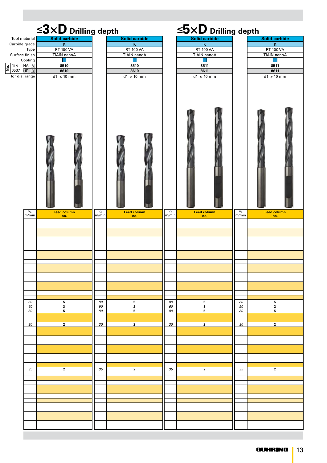|                                   | $\leq$ 3×D Drilling depth                    |                               |                                          |                               | $\leq$ 5 $\times$ D Drilling depth     |                |                                          |
|-----------------------------------|----------------------------------------------|-------------------------------|------------------------------------------|-------------------------------|----------------------------------------|----------------|------------------------------------------|
| Tool material<br>Carbide grade    | Solid carbide<br>$\mathsf K$                 |                               | Solid carbide<br>$\overline{\mathsf{K}}$ |                               | Solid carbide<br>$\mathsf K$           |                | Solid carbide<br>$\overline{\mathsf{K}}$ |
| Type<br>Surface finish<br>Cooling | <b>RT 100 VA</b><br><b>TiAIN</b> nanoA<br>×. |                               | <b>RT 100 VA</b><br><b>TiAIN</b> nanoA   |                               | <b>RT 100 VA</b><br><b>TiAIN</b> nanoA |                | <b>RT 100 VA</b><br><b>TiAIN nanoA</b>   |
| $\frac{1}{2}$ DIN HA R            | 8510<br>8610                                 |                               | 8510<br>8610                             |                               | 8511<br>8611                           |                | 8511<br>8611                             |
| for dia. range                    | $d1 \leq 10$ mm                              |                               | $d1 > 10$ mm                             |                               | $d1 \leq 10$ mm                        |                | $d1 > 10$ mm                             |
| $\mathbf{v}_{\rm c}$<br>m/min     | <b>Feed column</b><br>no.                    | $\mathbf{v}_{\rm c}$<br>m/min | <b>Feed column</b><br>no.                | $\mathsf{v}_{\rm c}$<br>m/min | <b>Feed column</b><br>no.              | $v_c$<br>m/min | <b>Feed column</b><br>no.                |
|                                   |                                              |                               |                                          |                               |                                        |                |                                          |
|                                   |                                              |                               |                                          |                               |                                        |                |                                          |
|                                   |                                              |                               |                                          |                               |                                        |                |                                          |
|                                   |                                              |                               |                                          |                               |                                        |                |                                          |
|                                   |                                              |                               |                                          |                               |                                        |                |                                          |
|                                   |                                              |                               |                                          |                               |                                        |                |                                          |
|                                   |                                              |                               |                                          |                               |                                        |                |                                          |
| 80<br>60<br>80                    | 5<br>$\mathbf{3}$<br>5                       | 80<br>90<br>80                | 5<br>$\mathbf{2}$<br>5                   | 80<br>60<br>80                | 5<br>$\mathbf 3$<br>5                  | 80<br>90<br>80 | 5<br>$\mathbf 2$<br>5                    |
|                                   |                                              |                               |                                          |                               |                                        |                |                                          |
| 30                                | $\mathbf{2}$                                 | 30                            | $\mathbf{2}$                             | 30                            | $\mathbf{2}$                           | 30             | $\mathbf{2}$                             |
|                                   |                                              |                               |                                          |                               |                                        |                |                                          |
|                                   |                                              |                               |                                          |                               |                                        |                |                                          |
|                                   |                                              |                               |                                          |                               |                                        |                |                                          |
| 35                                | $\overline{2}$                               | 35                            | $\overline{2}$                           | 35                            | $\overline{2}$                         | 35             | $\overline{2}$                           |
|                                   |                                              |                               |                                          |                               |                                        |                |                                          |
|                                   |                                              |                               |                                          |                               |                                        |                |                                          |
|                                   |                                              |                               |                                          |                               |                                        |                |                                          |
|                                   |                                              |                               |                                          |                               |                                        |                |                                          |
|                                   |                                              |                               |                                          |                               |                                        |                |                                          |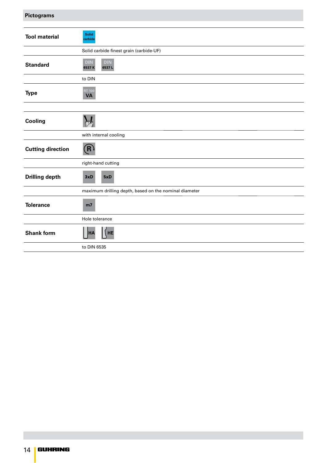### **Pictograms**

| <b>Tool material</b>     | <b>Solid</b><br>carbide                               |  |  |
|--------------------------|-------------------------------------------------------|--|--|
|                          | Solid carbide finest grain (carbide-UF)               |  |  |
| <b>Standard</b>          | <b>DIN</b><br><b>DIN</b><br>6537K<br>6537L            |  |  |
|                          | to DIN                                                |  |  |
| <b>Type</b>              | <b>RT 100</b><br><b>VA</b>                            |  |  |
|                          |                                                       |  |  |
| Cooling                  |                                                       |  |  |
|                          | with internal cooling                                 |  |  |
| <b>Cutting direction</b> | $(\mathbf{R})$                                        |  |  |
|                          | right-hand cutting                                    |  |  |
| <b>Drilling depth</b>    | 3xD<br>5xD                                            |  |  |
|                          | maximum drilling depth, based on the nominal diameter |  |  |
| <b>Tolerance</b>         | m <sub>7</sub>                                        |  |  |
|                          | Hole tolerance                                        |  |  |
| <b>Shank form</b>        | HE<br>HA                                              |  |  |
|                          | to DIN 6535                                           |  |  |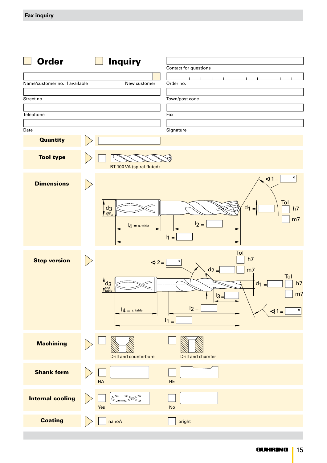| <b>Order</b>                   | <b>Inquiry</b>                                                                                    | Contact for questions                                                                                                                                      |
|--------------------------------|---------------------------------------------------------------------------------------------------|------------------------------------------------------------------------------------------------------------------------------------------------------------|
| Name/customer no. if available | New customer                                                                                      | Order no.                                                                                                                                                  |
| Street no.                     |                                                                                                   | Town/post code                                                                                                                                             |
| Telephone                      |                                                                                                   | Fax                                                                                                                                                        |
| Date                           |                                                                                                   | Signature                                                                                                                                                  |
| <b>Quantity</b>                |                                                                                                   |                                                                                                                                                            |
| <b>Tool type</b>               | RT 100 VA (spiral-fluted)                                                                         |                                                                                                                                                            |
| <b>Dimensions</b>              |                                                                                                   | $\sqrt{1}$ =<br>$\circ$                                                                                                                                    |
|                                | $\frac{d}{\text{see}}$<br>$I_4 = s$ . table                                                       | Tol<br>$d_1 =$<br>h7<br>m <sub>7</sub><br>$12 =$<br>$11 =$                                                                                                 |
| <b>Step version</b>            | $\triangleleft$ 2 =<br>$\int_{\frac{\text{see}}{\text{table}}}^{\text{d}} ds$<br>$14 = s$ . table | Tol<br>h7<br>$\circ$<br>$d_2 =$<br>m <sub>7</sub><br>Tol<br>h7<br>$d_1 =$<br>m <sub>7</sub><br>$ 3=$<br>$12 =$<br>$\circ$<br>$\triangleleft 1$ =<br>$11 =$ |
| <b>Machining</b>               | <b>Drill and counterbore</b>                                                                      | Drill and chamfer                                                                                                                                          |
| <b>Shank form</b>              | HA                                                                                                | HE                                                                                                                                                         |
| <b>Internal cooling</b>        | Yes                                                                                               | <b>No</b>                                                                                                                                                  |
| <b>Coating</b>                 | nanoA                                                                                             | bright                                                                                                                                                     |